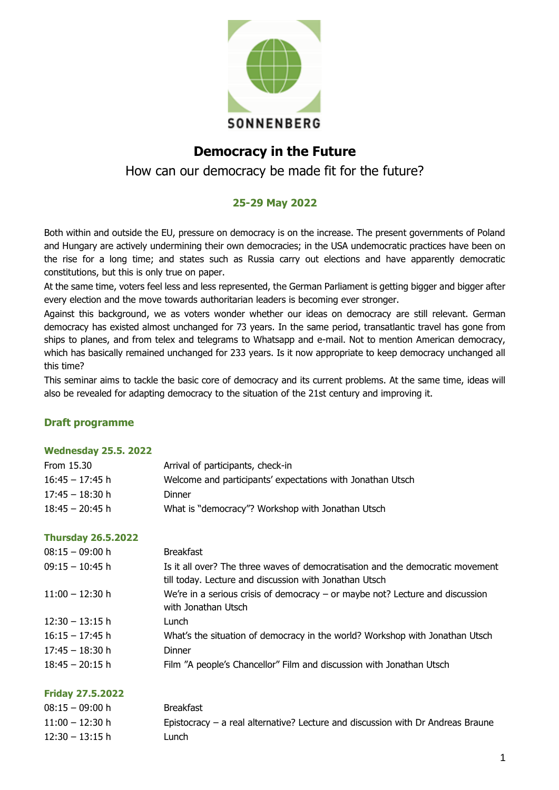

# **Democracy in the Future**

How can our democracy be made fit for the future?

# **25-29 May 2022**

Both within and outside the EU, pressure on democracy is on the increase. The present governments of Poland and Hungary are actively undermining their own democracies; in the USA undemocratic practices have been on the rise for a long time; and states such as Russia carry out elections and have apparently democratic constitutions, but this is only true on paper.

At the same time, voters feel less and less represented, the German Parliament is getting bigger and bigger after every election and the move towards authoritarian leaders is becoming ever stronger.

Against this background, we as voters wonder whether our ideas on democracy are still relevant. German democracy has existed almost unchanged for 73 years. In the same period, transatlantic travel has gone from ships to planes, and from telex and telegrams to Whatsapp and e-mail. Not to mention American democracy, which has basically remained unchanged for 233 years. Is it now appropriate to keep democracy unchanged all this time?

This seminar aims to tackle the basic core of democracy and its current problems. At the same time, ideas will also be revealed for adapting democracy to the situation of the 21st century and improving it.

# **Draft programme**

# **Wednesday 25.5. 2022**

| From 15.30                | Arrival of participants, check-in                                                                                                        |
|---------------------------|------------------------------------------------------------------------------------------------------------------------------------------|
| 16:45 – 17:45 h           | Welcome and participants' expectations with Jonathan Utsch                                                                               |
| 17:45 - 18:30 h           | <b>Dinner</b>                                                                                                                            |
| $18:45 - 20:45$ h         | What is "democracy"? Workshop with Jonathan Utsch                                                                                        |
| <b>Thursday 26.5.2022</b> |                                                                                                                                          |
| 08:15 – 09:00 h           | <b>Breakfast</b>                                                                                                                         |
| 09:15 – 10:45 h           | Is it all over? The three waves of democratisation and the democratic movement<br>till today. Lecture and discussion with Jonathan Utsch |
| $11:00 - 12:30$ h         | We're in a serious crisis of democracy $-$ or maybe not? Lecture and discussion<br>with Jonathan Utsch                                   |
| $12:30 - 13:15$ h         | Lunch                                                                                                                                    |
| $16:15 - 17:45$ h         | What's the situation of democracy in the world? Workshop with Jonathan Utsch                                                             |
| $17:45 - 18:30$ h         | Dinner                                                                                                                                   |
| 18:45 – 20:15 h           | Film "A people's Chancellor" Film and discussion with Jonathan Utsch                                                                     |
| <b>Friday 27.5.2022</b>   |                                                                                                                                          |

| $08:15-09:00 h$   | Breakfast                                                                         |
|-------------------|-----------------------------------------------------------------------------------|
| $11:00 - 12:30$ h | Epistocracy $-$ a real alternative? Lecture and discussion with Dr Andreas Braune |
| $12:30 - 13:15$ h | Lunch                                                                             |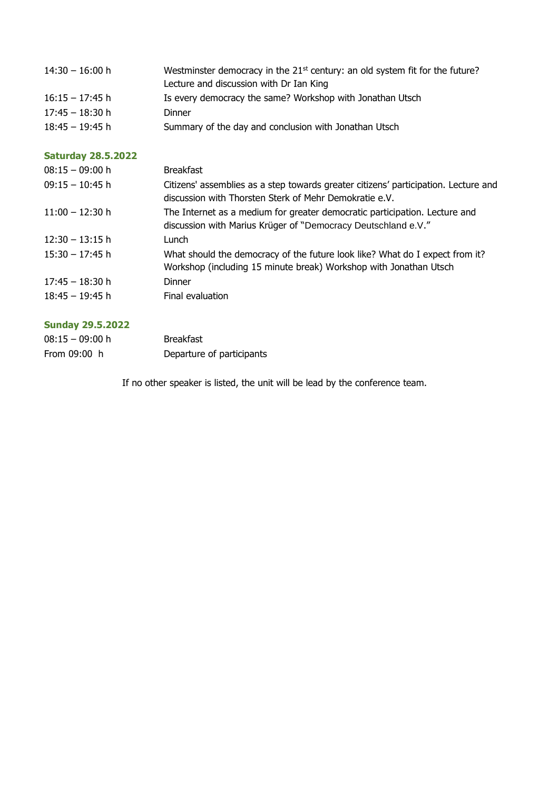| $14:30 - 16:00$ h | Westminster democracy in the 21 <sup>st</sup> century: an old system fit for the future?<br>Lecture and discussion with Dr Ian King |
|-------------------|-------------------------------------------------------------------------------------------------------------------------------------|
| $16:15 - 17:45$ h | Is every democracy the same? Workshop with Jonathan Utsch                                                                           |
| $17:45 - 18:30$ h | <b>Dinner</b>                                                                                                                       |
| $18:45 - 19:45$ h | Summary of the day and conclusion with Jonathan Utsch                                                                               |

# **Saturday 28.5.2022**

| $08:15-09:00 h$   | <b>Breakfast</b>                                                                                                                                  |
|-------------------|---------------------------------------------------------------------------------------------------------------------------------------------------|
| $09:15 - 10:45$ h | Citizens' assemblies as a step towards greater citizens' participation. Lecture and<br>discussion with Thorsten Sterk of Mehr Demokratie e.V.     |
| $11:00 - 12:30$ h | The Internet as a medium for greater democratic participation. Lecture and<br>discussion with Marius Krüger of "Democracy Deutschland e.V."       |
| $12:30 - 13:15$ h | Lunch                                                                                                                                             |
| $15:30 - 17:45$ h | What should the democracy of the future look like? What do I expect from it?<br>Workshop (including 15 minute break) Workshop with Jonathan Utsch |
| $17:45 - 18:30$ h | Dinner                                                                                                                                            |
| $18:45 - 19:45$ h | Final evaluation                                                                                                                                  |

# **Sunday 29.5.2022**

| $08:15 - 09:00 h$ | <b>Breakfast</b>          |
|-------------------|---------------------------|
| From 09:00 h      | Departure of participants |

If no other speaker is listed, the unit will be lead by the conference team.